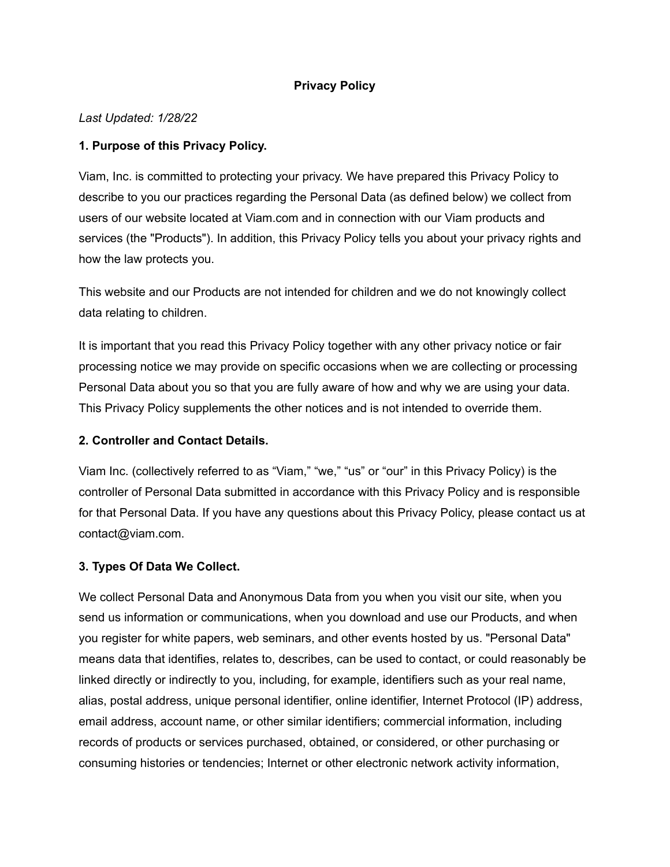#### **Privacy Policy**

#### *Last Updated: 1/28/22*

#### **1. Purpose of this Privacy Policy.**

Viam, Inc. is committed to protecting your privacy. We have prepared this Privacy Policy to describe to you our practices regarding the Personal Data (as defined below) we collect from users of our website located at Viam.com and in connection with our Viam products and services (the "Products"). In addition, this Privacy Policy tells you about your privacy rights and how the law protects you.

This website and our Products are not intended for children and we do not knowingly collect data relating to children.

It is important that you read this Privacy Policy together with any other privacy notice or fair processing notice we may provide on specific occasions when we are collecting or processing Personal Data about you so that you are fully aware of how and why we are using your data. This Privacy Policy supplements the other notices and is not intended to override them.

#### **2. Controller and Contact Details.**

Viam Inc. (collectively referred to as "Viam," "we," "us" or "our" in this Privacy Policy) is the controller of Personal Data submitted in accordance with this Privacy Policy and is responsible for that Personal Data. If you have any questions about this Privacy Policy, please contact us at contact@viam.com.

## **3. Types Of Data We Collect.**

We collect Personal Data and Anonymous Data from you when you visit our site, when you send us information or communications, when you download and use our Products, and when you register for white papers, web seminars, and other events hosted by us. "Personal Data" means data that identifies, relates to, describes, can be used to contact, or could reasonably be linked directly or indirectly to you, including, for example, identifiers such as your real name, alias, postal address, unique personal identifier, online identifier, Internet Protocol (IP) address, email address, account name, or other similar identifiers; commercial information, including records of products or services purchased, obtained, or considered, or other purchasing or consuming histories or tendencies; Internet or other electronic network activity information,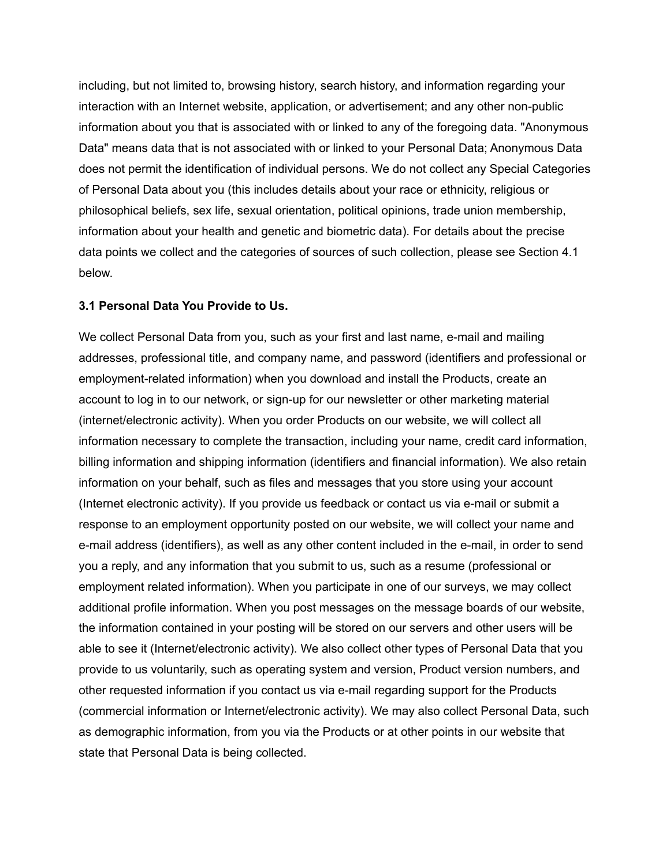including, but not limited to, browsing history, search history, and information regarding your interaction with an Internet website, application, or advertisement; and any other non-public information about you that is associated with or linked to any of the foregoing data. "Anonymous Data" means data that is not associated with or linked to your Personal Data; Anonymous Data does not permit the identification of individual persons. We do not collect any Special Categories of Personal Data about you (this includes details about your race or ethnicity, religious or philosophical beliefs, sex life, sexual orientation, political opinions, trade union membership, information about your health and genetic and biometric data). For details about the precise data points we collect and the categories of sources of such collection, please see Section 4.1 below.

#### **3.1 Personal Data You Provide to Us.**

We collect Personal Data from you, such as your first and last name, e-mail and mailing addresses, professional title, and company name, and password (identifiers and professional or employment-related information) when you download and install the Products, create an account to log in to our network, or sign-up for our newsletter or other marketing material (internet/electronic activity). When you order Products on our website, we will collect all information necessary to complete the transaction, including your name, credit card information, billing information and shipping information (identifiers and financial information). We also retain information on your behalf, such as files and messages that you store using your account (Internet electronic activity). If you provide us feedback or contact us via e-mail or submit a response to an employment opportunity posted on our website, we will collect your name and e-mail address (identifiers), as well as any other content included in the e-mail, in order to send you a reply, and any information that you submit to us, such as a resume (professional or employment related information). When you participate in one of our surveys, we may collect additional profile information. When you post messages on the message boards of our website, the information contained in your posting will be stored on our servers and other users will be able to see it (Internet/electronic activity). We also collect other types of Personal Data that you provide to us voluntarily, such as operating system and version, Product version numbers, and other requested information if you contact us via e-mail regarding support for the Products (commercial information or Internet/electronic activity). We may also collect Personal Data, such as demographic information, from you via the Products or at other points in our website that state that Personal Data is being collected.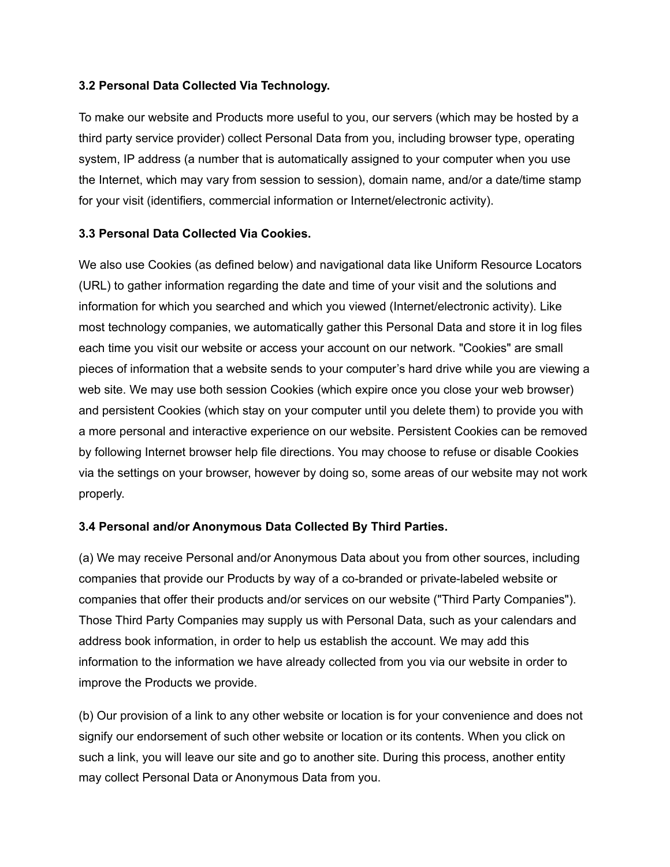#### **3.2 Personal Data Collected Via Technology.**

To make our website and Products more useful to you, our servers (which may be hosted by a third party service provider) collect Personal Data from you, including browser type, operating system, IP address (a number that is automatically assigned to your computer when you use the Internet, which may vary from session to session), domain name, and/or a date/time stamp for your visit (identifiers, commercial information or Internet/electronic activity).

#### **3.3 Personal Data Collected Via Cookies.**

We also use Cookies (as defined below) and navigational data like Uniform Resource Locators (URL) to gather information regarding the date and time of your visit and the solutions and information for which you searched and which you viewed (Internet/electronic activity). Like most technology companies, we automatically gather this Personal Data and store it in log files each time you visit our website or access your account on our network. "Cookies" are small pieces of information that a website sends to your computer's hard drive while you are viewing a web site. We may use both session Cookies (which expire once you close your web browser) and persistent Cookies (which stay on your computer until you delete them) to provide you with a more personal and interactive experience on our website. Persistent Cookies can be removed by following Internet browser help file directions. You may choose to refuse or disable Cookies via the settings on your browser, however by doing so, some areas of our website may not work properly.

#### **3.4 Personal and/or Anonymous Data Collected By Third Parties.**

(a) We may receive Personal and/or Anonymous Data about you from other sources, including companies that provide our Products by way of a co-branded or private-labeled website or companies that offer their products and/or services on our website ("Third Party Companies"). Those Third Party Companies may supply us with Personal Data, such as your calendars and address book information, in order to help us establish the account. We may add this information to the information we have already collected from you via our website in order to improve the Products we provide.

(b) Our provision of a link to any other website or location is for your convenience and does not signify our endorsement of such other website or location or its contents. When you click on such a link, you will leave our site and go to another site. During this process, another entity may collect Personal Data or Anonymous Data from you.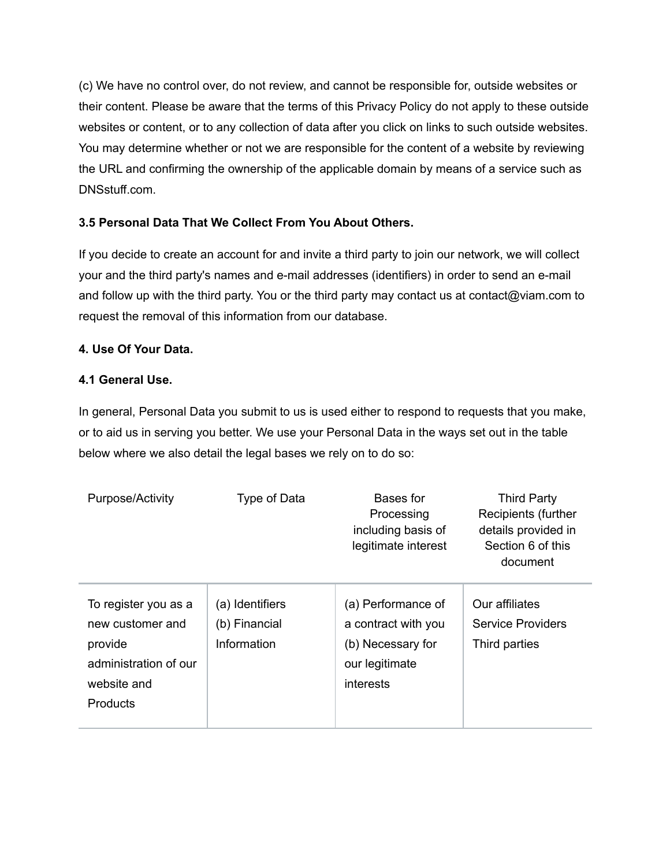(c) We have no control over, do not review, and cannot be responsible for, outside websites or their content. Please be aware that the terms of this Privacy Policy do not apply to these outside websites or content, or to any collection of data after you click on links to such outside websites. You may determine whether or not we are responsible for the content of a website by reviewing the URL and confirming the ownership of the applicable domain by means of a service such as DNSstuff.com.

# **3.5 Personal Data That We Collect From You About Others.**

If you decide to create an account for and invite a third party to join our network, we will collect your and the third party's names and e-mail addresses (identifiers) in order to send an e-mail and follow up with the third party. You or the third party may contact us at contact@viam.com to request the removal of this information from our database.

## **4. Use Of Your Data.**

# **4.1 General Use.**

In general, Personal Data you submit to us is used either to respond to requests that you make, or to aid us in serving you better. We use your Personal Data in the ways set out in the table below where we also detail the legal bases we rely on to do so:

| Purpose/Activity                                                                                               | Type of Data                                    | Bases for<br>Processing<br>including basis of<br>legitimate interest                          | <b>Third Party</b><br>Recipients (further<br>details provided in<br>Section 6 of this<br>document |
|----------------------------------------------------------------------------------------------------------------|-------------------------------------------------|-----------------------------------------------------------------------------------------------|---------------------------------------------------------------------------------------------------|
| To register you as a<br>new customer and<br>provide<br>administration of our<br>website and<br><b>Products</b> | (a) Identifiers<br>(b) Financial<br>Information | (a) Performance of<br>a contract with you<br>(b) Necessary for<br>our legitimate<br>interests | Our affiliates<br><b>Service Providers</b><br>Third parties                                       |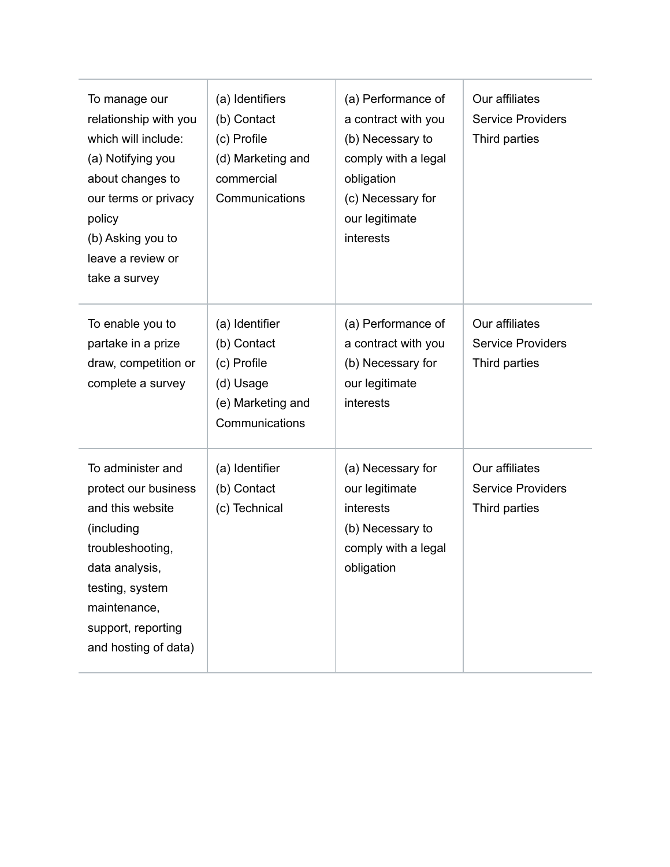| To manage our<br>relationship with you<br>which will include:<br>(a) Notifying you<br>about changes to<br>our terms or privacy<br>policy<br>(b) Asking you to<br>leave a review or<br>take a survey | (a) Identifiers<br>(b) Contact<br>(c) Profile<br>(d) Marketing and<br>commercial<br>Communications | (a) Performance of<br>a contract with you<br>(b) Necessary to<br>comply with a legal<br>obligation<br>(c) Necessary for<br>our legitimate<br>interests | Our affiliates<br><b>Service Providers</b><br>Third parties |
|-----------------------------------------------------------------------------------------------------------------------------------------------------------------------------------------------------|----------------------------------------------------------------------------------------------------|--------------------------------------------------------------------------------------------------------------------------------------------------------|-------------------------------------------------------------|
| To enable you to<br>partake in a prize<br>draw, competition or<br>complete a survey                                                                                                                 | (a) Identifier<br>(b) Contact<br>(c) Profile<br>(d) Usage<br>(e) Marketing and<br>Communications   | (a) Performance of<br>a contract with you<br>(b) Necessary for<br>our legitimate<br>interests                                                          | Our affiliates<br><b>Service Providers</b><br>Third parties |
| To administer and<br>protect our business<br>and this website<br>(including<br>troubleshooting,<br>data analysis,<br>testing, system<br>maintenance,<br>support, reporting<br>and hosting of data)  | (a) Identifier<br>(b) Contact<br>(c) Technical                                                     | (a) Necessary for<br>our legitimate<br>interests<br>(b) Necessary to<br>comply with a legal<br>obligation                                              | Our affiliates<br><b>Service Providers</b><br>Third parties |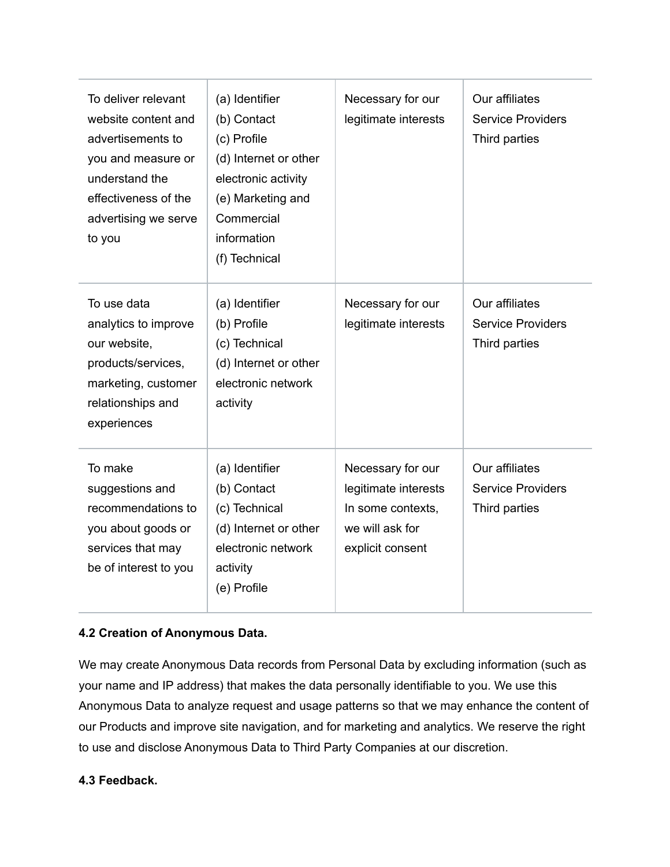| To deliver relevant<br>website content and<br>advertisements to<br>you and measure or<br>understand the<br>effectiveness of the<br>advertising we serve<br>to you | (a) Identifier<br>(b) Contact<br>(c) Profile<br>(d) Internet or other<br>electronic activity<br>(e) Marketing and<br>Commercial<br>information<br>(f) Technical | Necessary for our<br>legitimate interests                                                             | Our affiliates<br><b>Service Providers</b><br>Third parties |
|-------------------------------------------------------------------------------------------------------------------------------------------------------------------|-----------------------------------------------------------------------------------------------------------------------------------------------------------------|-------------------------------------------------------------------------------------------------------|-------------------------------------------------------------|
| To use data<br>analytics to improve<br>our website,<br>products/services,<br>marketing, customer<br>relationships and<br>experiences                              | (a) Identifier<br>(b) Profile<br>(c) Technical<br>(d) Internet or other<br>electronic network<br>activity                                                       | Necessary for our<br>legitimate interests                                                             | Our affiliates<br><b>Service Providers</b><br>Third parties |
| To make<br>suggestions and<br>recommendations to<br>you about goods or<br>services that may<br>be of interest to you                                              | (a) Identifier<br>(b) Contact<br>(c) Technical<br>(d) Internet or other<br>electronic network<br>activity<br>(e) Profile                                        | Necessary for our<br>legitimate interests<br>In some contexts,<br>we will ask for<br>explicit consent | Our affiliates<br><b>Service Providers</b><br>Third parties |

## **4.2 Creation of Anonymous Data.**

We may create Anonymous Data records from Personal Data by excluding information (such as your name and IP address) that makes the data personally identifiable to you. We use this Anonymous Data to analyze request and usage patterns so that we may enhance the content of our Products and improve site navigation, and for marketing and analytics. We reserve the right to use and disclose Anonymous Data to Third Party Companies at our discretion.

#### **4.3 Feedback.**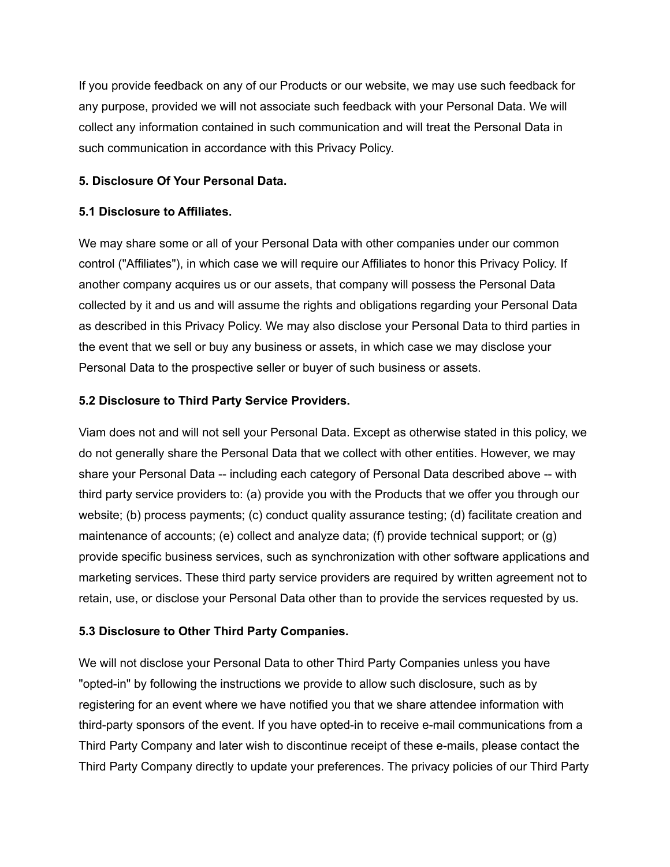If you provide feedback on any of our Products or our website, we may use such feedback for any purpose, provided we will not associate such feedback with your Personal Data. We will collect any information contained in such communication and will treat the Personal Data in such communication in accordance with this Privacy Policy.

#### **5. Disclosure Of Your Personal Data.**

#### **5.1 Disclosure to Affiliates.**

We may share some or all of your Personal Data with other companies under our common control ("Affiliates"), in which case we will require our Affiliates to honor this Privacy Policy. If another company acquires us or our assets, that company will possess the Personal Data collected by it and us and will assume the rights and obligations regarding your Personal Data as described in this Privacy Policy. We may also disclose your Personal Data to third parties in the event that we sell or buy any business or assets, in which case we may disclose your Personal Data to the prospective seller or buyer of such business or assets.

## **5.2 Disclosure to Third Party Service Providers.**

Viam does not and will not sell your Personal Data. Except as otherwise stated in this policy, we do not generally share the Personal Data that we collect with other entities. However, we may share your Personal Data -- including each category of Personal Data described above -- with third party service providers to: (a) provide you with the Products that we offer you through our website; (b) process payments; (c) conduct quality assurance testing; (d) facilitate creation and maintenance of accounts; (e) collect and analyze data; (f) provide technical support; or (g) provide specific business services, such as synchronization with other software applications and marketing services. These third party service providers are required by written agreement not to retain, use, or disclose your Personal Data other than to provide the services requested by us.

## **5.3 Disclosure to Other Third Party Companies.**

We will not disclose your Personal Data to other Third Party Companies unless you have "opted-in" by following the instructions we provide to allow such disclosure, such as by registering for an event where we have notified you that we share attendee information with third-party sponsors of the event. If you have opted-in to receive e-mail communications from a Third Party Company and later wish to discontinue receipt of these e-mails, please contact the Third Party Company directly to update your preferences. The privacy policies of our Third Party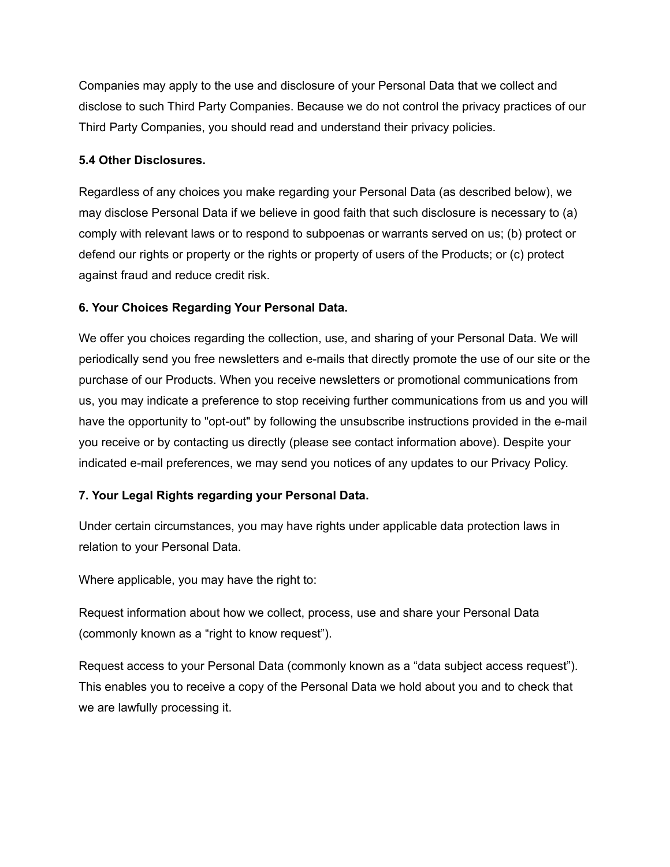Companies may apply to the use and disclosure of your Personal Data that we collect and disclose to such Third Party Companies. Because we do not control the privacy practices of our Third Party Companies, you should read and understand their privacy policies.

#### **5.4 Other Disclosures.**

Regardless of any choices you make regarding your Personal Data (as described below), we may disclose Personal Data if we believe in good faith that such disclosure is necessary to (a) comply with relevant laws or to respond to subpoenas or warrants served on us; (b) protect or defend our rights or property or the rights or property of users of the Products; or (c) protect against fraud and reduce credit risk.

## **6. Your Choices Regarding Your Personal Data.**

We offer you choices regarding the collection, use, and sharing of your Personal Data. We will periodically send you free newsletters and e-mails that directly promote the use of our site or the purchase of our Products. When you receive newsletters or promotional communications from us, you may indicate a preference to stop receiving further communications from us and you will have the opportunity to "opt-out" by following the unsubscribe instructions provided in the e-mail you receive or by contacting us directly (please see contact information above). Despite your indicated e-mail preferences, we may send you notices of any updates to our Privacy Policy.

## **7. Your Legal Rights regarding your Personal Data.**

Under certain circumstances, you may have rights under applicable data protection laws in relation to your Personal Data.

Where applicable, you may have the right to:

Request information about how we collect, process, use and share your Personal Data (commonly known as a "right to know request").

Request access to your Personal Data (commonly known as a "data subject access request"). This enables you to receive a copy of the Personal Data we hold about you and to check that we are lawfully processing it.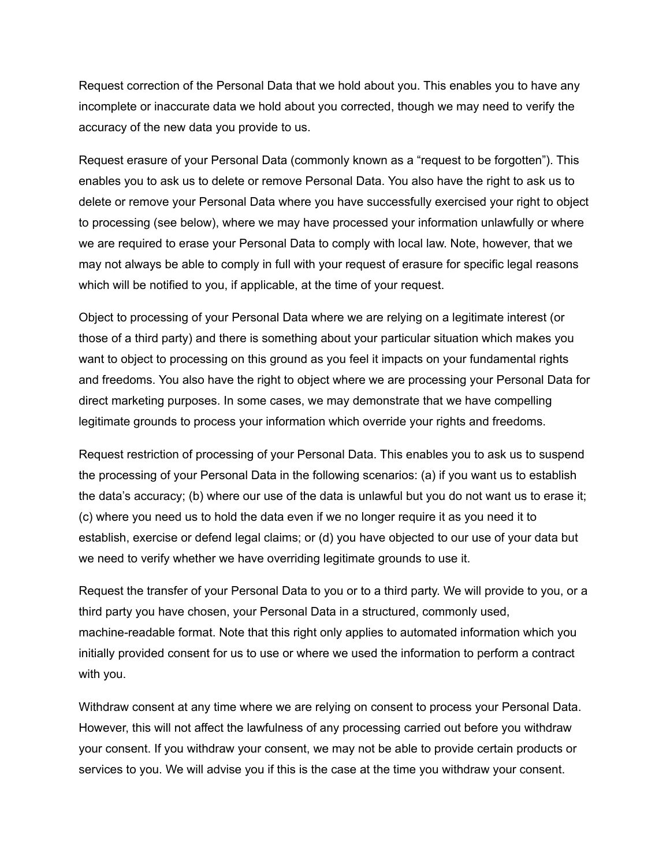Request correction of the Personal Data that we hold about you. This enables you to have any incomplete or inaccurate data we hold about you corrected, though we may need to verify the accuracy of the new data you provide to us.

Request erasure of your Personal Data (commonly known as a "request to be forgotten"). This enables you to ask us to delete or remove Personal Data. You also have the right to ask us to delete or remove your Personal Data where you have successfully exercised your right to object to processing (see below), where we may have processed your information unlawfully or where we are required to erase your Personal Data to comply with local law. Note, however, that we may not always be able to comply in full with your request of erasure for specific legal reasons which will be notified to you, if applicable, at the time of your request.

Object to processing of your Personal Data where we are relying on a legitimate interest (or those of a third party) and there is something about your particular situation which makes you want to object to processing on this ground as you feel it impacts on your fundamental rights and freedoms. You also have the right to object where we are processing your Personal Data for direct marketing purposes. In some cases, we may demonstrate that we have compelling legitimate grounds to process your information which override your rights and freedoms.

Request restriction of processing of your Personal Data. This enables you to ask us to suspend the processing of your Personal Data in the following scenarios: (a) if you want us to establish the data's accuracy; (b) where our use of the data is unlawful but you do not want us to erase it; (c) where you need us to hold the data even if we no longer require it as you need it to establish, exercise or defend legal claims; or (d) you have objected to our use of your data but we need to verify whether we have overriding legitimate grounds to use it.

Request the transfer of your Personal Data to you or to a third party. We will provide to you, or a third party you have chosen, your Personal Data in a structured, commonly used, machine-readable format. Note that this right only applies to automated information which you initially provided consent for us to use or where we used the information to perform a contract with you.

Withdraw consent at any time where we are relying on consent to process your Personal Data. However, this will not affect the lawfulness of any processing carried out before you withdraw your consent. If you withdraw your consent, we may not be able to provide certain products or services to you. We will advise you if this is the case at the time you withdraw your consent.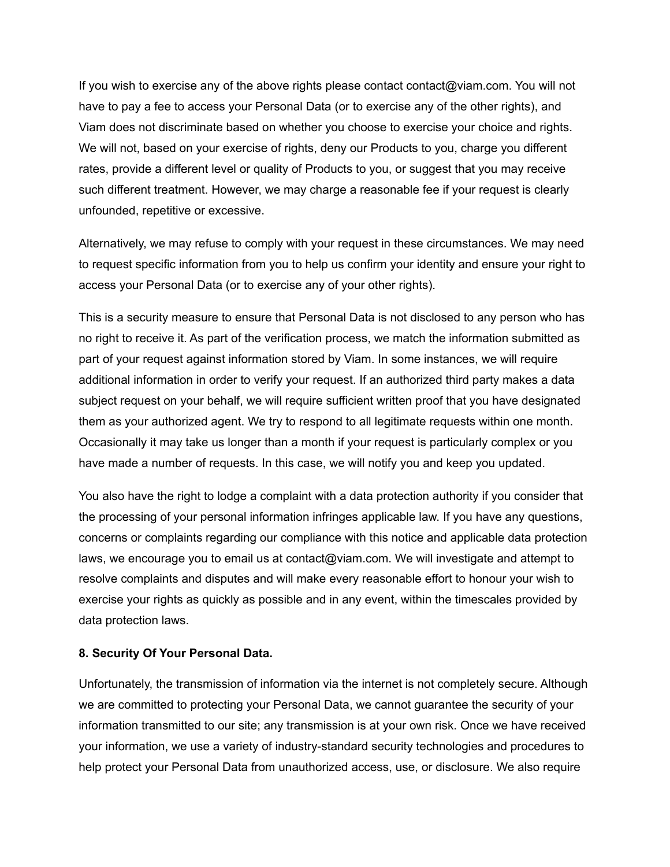If you wish to exercise any of the above rights please contact contact@viam.com. You will not have to pay a fee to access your Personal Data (or to exercise any of the other rights), and Viam does not discriminate based on whether you choose to exercise your choice and rights. We will not, based on your exercise of rights, deny our Products to you, charge you different rates, provide a different level or quality of Products to you, or suggest that you may receive such different treatment. However, we may charge a reasonable fee if your request is clearly unfounded, repetitive or excessive.

Alternatively, we may refuse to comply with your request in these circumstances. We may need to request specific information from you to help us confirm your identity and ensure your right to access your Personal Data (or to exercise any of your other rights).

This is a security measure to ensure that Personal Data is not disclosed to any person who has no right to receive it. As part of the verification process, we match the information submitted as part of your request against information stored by Viam. In some instances, we will require additional information in order to verify your request. If an authorized third party makes a data subject request on your behalf, we will require sufficient written proof that you have designated them as your authorized agent. We try to respond to all legitimate requests within one month. Occasionally it may take us longer than a month if your request is particularly complex or you have made a number of requests. In this case, we will notify you and keep you updated.

You also have the right to lodge a complaint with a data [protection](http://ec.europa.eu/newsroom/article29/item-detail.cfm?item_id=61208) authority if you consider that the processing of your personal information infringes applicable law. If you have any questions, concerns or complaints regarding our compliance with this notice and applicable data protection laws, we encourage you to email us at contact@viam.com. We will investigate and attempt to resolve complaints and disputes and will make every reasonable effort to honour your wish to exercise your rights as quickly as possible and in any event, within the timescales provided by data protection laws.

#### **8. Security Of Your Personal Data.**

Unfortunately, the transmission of information via the internet is not completely secure. Although we are committed to protecting your Personal Data, we cannot guarantee the security of your information transmitted to our site; any transmission is at your own risk. Once we have received your information, we use a variety of industry-standard security technologies and procedures to help protect your Personal Data from unauthorized access, use, or disclosure. We also require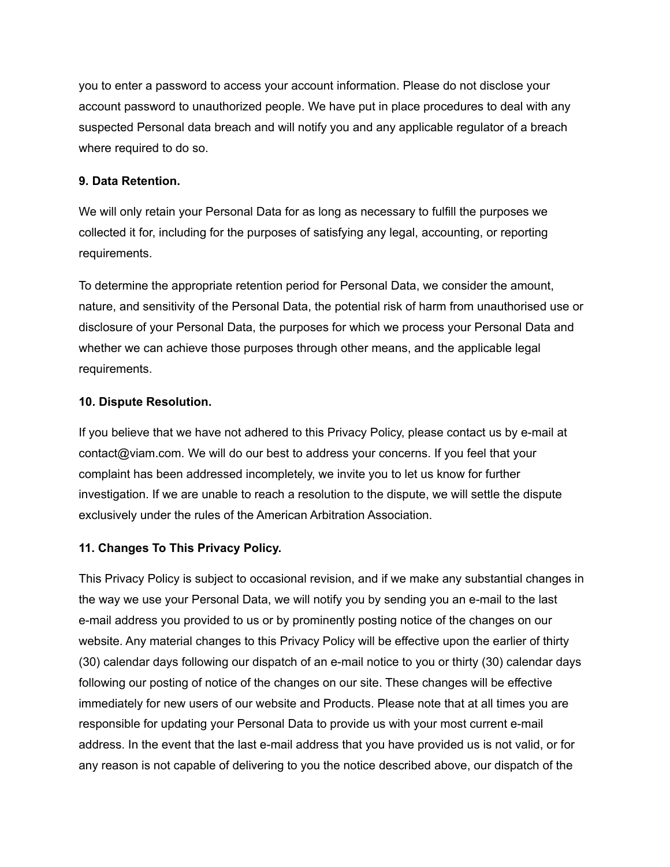you to enter a password to access your account information. Please do not disclose your account password to unauthorized people. We have put in place procedures to deal with any suspected Personal data breach and will notify you and any applicable regulator of a breach where required to do so.

#### **9. Data Retention.**

We will only retain your Personal Data for as long as necessary to fulfill the purposes we collected it for, including for the purposes of satisfying any legal, accounting, or reporting requirements.

To determine the appropriate retention period for Personal Data, we consider the amount, nature, and sensitivity of the Personal Data, the potential risk of harm from unauthorised use or disclosure of your Personal Data, the purposes for which we process your Personal Data and whether we can achieve those purposes through other means, and the applicable legal requirements.

## **10. Dispute Resolution.**

If you believe that we have not adhered to this Privacy Policy, please contact us by e-mail at contact@viam.com. We will do our best to address your concerns. If you feel that your complaint has been addressed incompletely, we invite you to let us know for further investigation. If we are unable to reach a resolution to the dispute, we will settle the dispute exclusively under the rules of the American Arbitration Association.

## **11. Changes To This Privacy Policy.**

This Privacy Policy is subject to occasional revision, and if we make any substantial changes in the way we use your Personal Data, we will notify you by sending you an e-mail to the last e-mail address you provided to us or by prominently posting notice of the changes on our website. Any material changes to this Privacy Policy will be effective upon the earlier of thirty (30) calendar days following our dispatch of an e-mail notice to you or thirty (30) calendar days following our posting of notice of the changes on our site. These changes will be effective immediately for new users of our website and Products. Please note that at all times you are responsible for updating your Personal Data to provide us with your most current e-mail address. In the event that the last e-mail address that you have provided us is not valid, or for any reason is not capable of delivering to you the notice described above, our dispatch of the